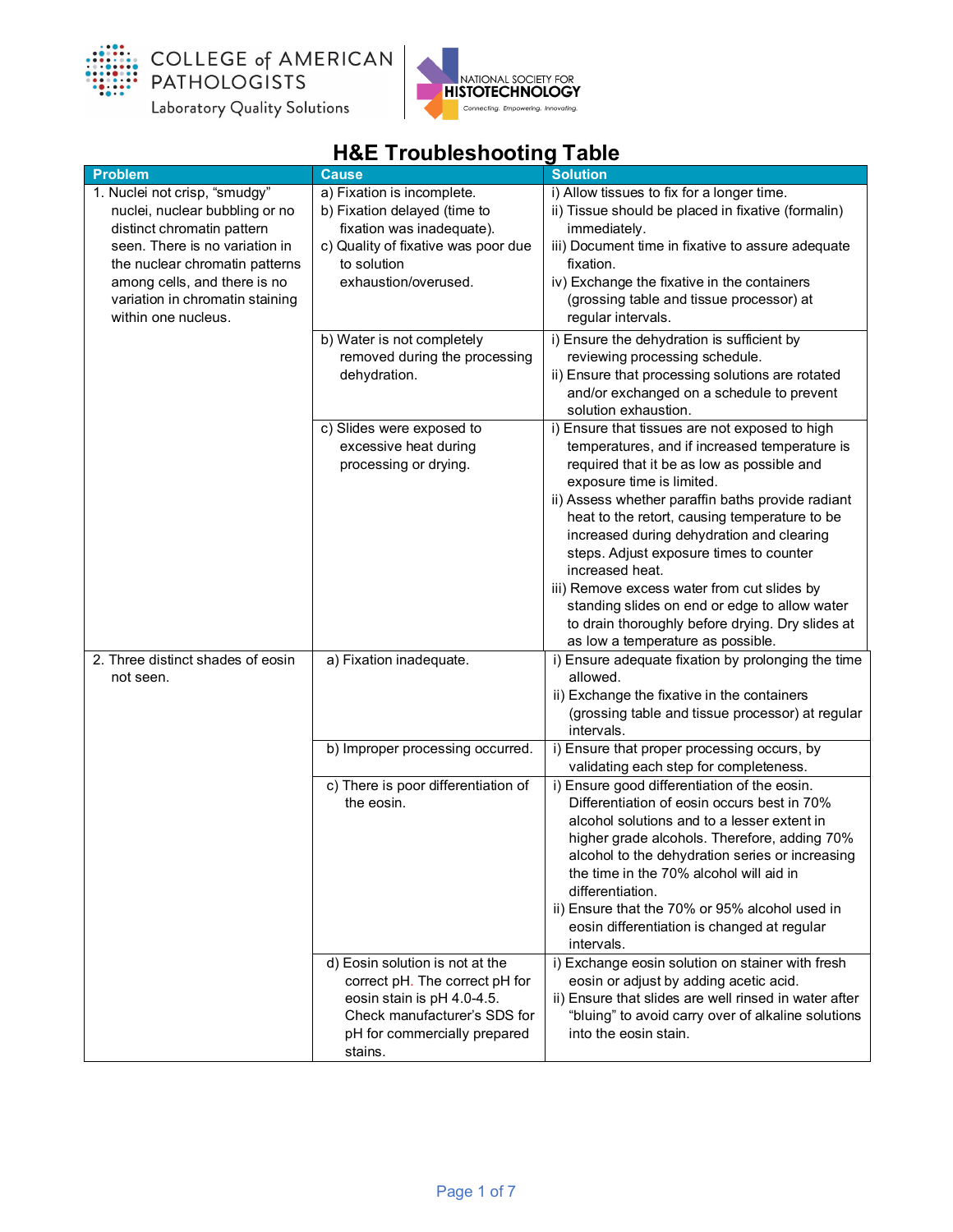



| <b>Problem</b>                                                                                                                                                                                                                                              | <b>Cause</b>                                                                                                                                                               | <b>Solution</b>                                                                                                                                                                                                                                                                                                                                                                                                                                                                                                                                                                      |
|-------------------------------------------------------------------------------------------------------------------------------------------------------------------------------------------------------------------------------------------------------------|----------------------------------------------------------------------------------------------------------------------------------------------------------------------------|--------------------------------------------------------------------------------------------------------------------------------------------------------------------------------------------------------------------------------------------------------------------------------------------------------------------------------------------------------------------------------------------------------------------------------------------------------------------------------------------------------------------------------------------------------------------------------------|
| 1. Nuclei not crisp, "smudgy"<br>nuclei, nuclear bubbling or no<br>distinct chromatin pattern<br>seen. There is no variation in<br>the nuclear chromatin patterns<br>among cells, and there is no<br>variation in chromatin staining<br>within one nucleus. | a) Fixation is incomplete.<br>b) Fixation delayed (time to<br>fixation was inadequate).<br>c) Quality of fixative was poor due<br>to solution<br>exhaustion/overused.      | i) Allow tissues to fix for a longer time.<br>ii) Tissue should be placed in fixative (formalin)<br>immediately.<br>iii) Document time in fixative to assure adequate<br>fixation.<br>iv) Exchange the fixative in the containers<br>(grossing table and tissue processor) at<br>regular intervals.                                                                                                                                                                                                                                                                                  |
|                                                                                                                                                                                                                                                             | b) Water is not completely<br>removed during the processing<br>dehydration.                                                                                                | i) Ensure the dehydration is sufficient by<br>reviewing processing schedule.<br>ii) Ensure that processing solutions are rotated<br>and/or exchanged on a schedule to prevent<br>solution exhaustion.                                                                                                                                                                                                                                                                                                                                                                                |
|                                                                                                                                                                                                                                                             | c) Slides were exposed to<br>excessive heat during<br>processing or drying.                                                                                                | i) Ensure that tissues are not exposed to high<br>temperatures, and if increased temperature is<br>required that it be as low as possible and<br>exposure time is limited.<br>ii) Assess whether paraffin baths provide radiant<br>heat to the retort, causing temperature to be<br>increased during dehydration and clearing<br>steps. Adjust exposure times to counter<br>increased heat.<br>iii) Remove excess water from cut slides by<br>standing slides on end or edge to allow water<br>to drain thoroughly before drying. Dry slides at<br>as low a temperature as possible. |
| 2. Three distinct shades of eosin<br>not seen.                                                                                                                                                                                                              | a) Fixation inadequate.                                                                                                                                                    | i) Ensure adequate fixation by prolonging the time<br>allowed.<br>ii) Exchange the fixative in the containers<br>(grossing table and tissue processor) at regular<br>intervals.                                                                                                                                                                                                                                                                                                                                                                                                      |
|                                                                                                                                                                                                                                                             | b) Improper processing occurred.<br>c) There is poor differentiation of<br>the eosin.                                                                                      | i) Ensure that proper processing occurs, by<br>validating each step for completeness.<br>i) Ensure good differentiation of the eosin.<br>Differentiation of eosin occurs best in 70%<br>alcohol solutions and to a lesser extent in<br>higher grade alcohols. Therefore, adding 70%<br>alcohol to the dehydration series or increasing<br>the time in the 70% alcohol will aid in<br>differentiation.<br>ii) Ensure that the 70% or 95% alcohol used in<br>eosin differentiation is changed at regular<br>intervals.                                                                 |
|                                                                                                                                                                                                                                                             | d) Eosin solution is not at the<br>correct pH. The correct pH for<br>eosin stain is pH 4.0-4.5.<br>Check manufacturer's SDS for<br>pH for commercially prepared<br>stains. | i) Exchange eosin solution on stainer with fresh<br>eosin or adjust by adding acetic acid.<br>ii) Ensure that slides are well rinsed in water after<br>"bluing" to avoid carry over of alkaline solutions<br>into the eosin stain.                                                                                                                                                                                                                                                                                                                                                   |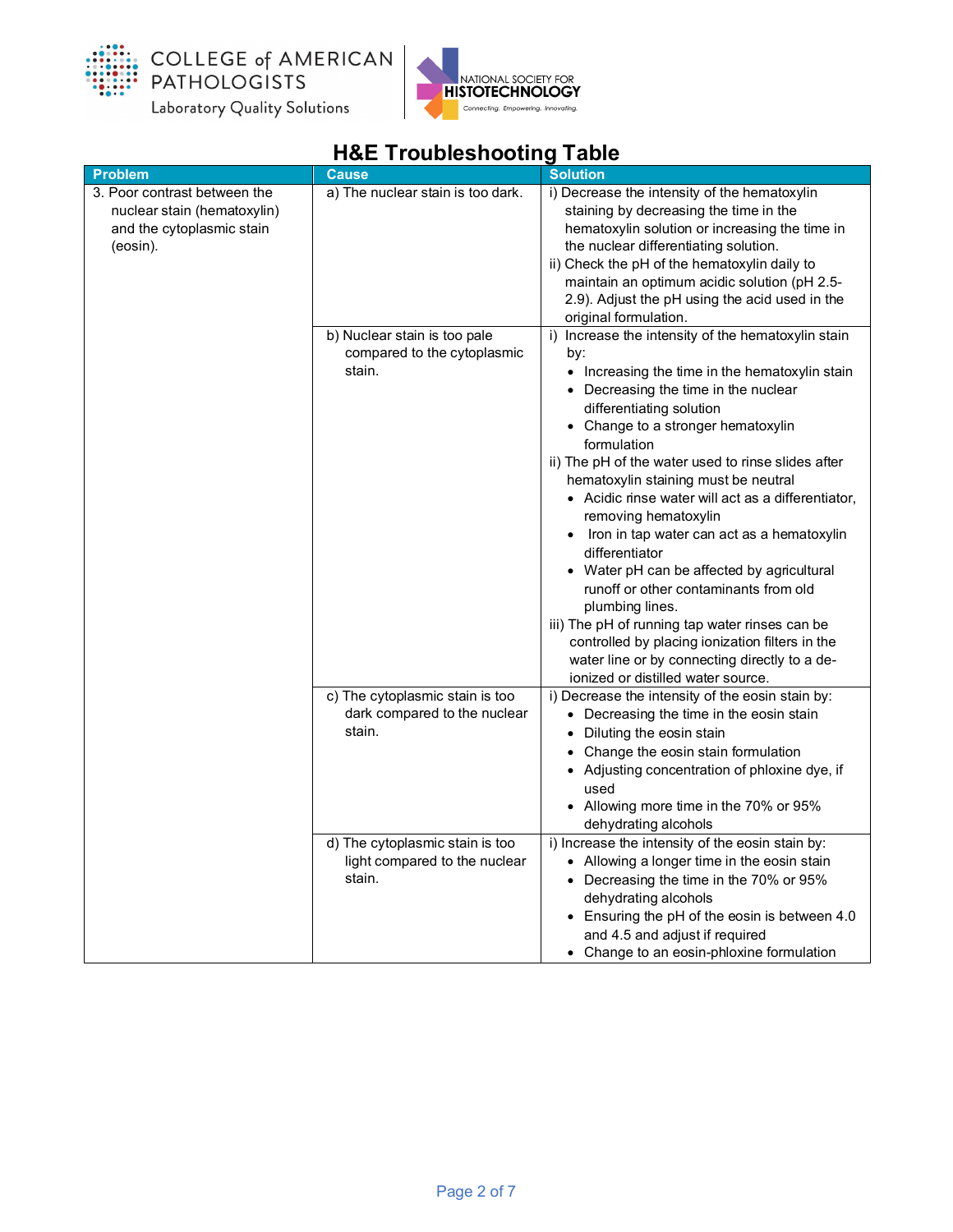



| <b>Problem</b>                                                                                       | <b>Cause</b>                                                                                                                                            | <b>Solution</b>                                                                                                                                                                                                                                                                                                                                                                                                                                                                                                                                                                                                                                                                                                                                                                        |
|------------------------------------------------------------------------------------------------------|---------------------------------------------------------------------------------------------------------------------------------------------------------|----------------------------------------------------------------------------------------------------------------------------------------------------------------------------------------------------------------------------------------------------------------------------------------------------------------------------------------------------------------------------------------------------------------------------------------------------------------------------------------------------------------------------------------------------------------------------------------------------------------------------------------------------------------------------------------------------------------------------------------------------------------------------------------|
| 3. Poor contrast between the<br>nuclear stain (hematoxylin)<br>and the cytoplasmic stain<br>(eosin). | a) The nuclear stain is too dark.                                                                                                                       | i) Decrease the intensity of the hematoxylin<br>staining by decreasing the time in the<br>hematoxylin solution or increasing the time in<br>the nuclear differentiating solution.<br>ii) Check the pH of the hematoxylin daily to<br>maintain an optimum acidic solution (pH 2.5-<br>2.9). Adjust the pH using the acid used in the<br>original formulation.                                                                                                                                                                                                                                                                                                                                                                                                                           |
|                                                                                                      | b) Nuclear stain is too pale<br>compared to the cytoplasmic<br>stain.                                                                                   | i) Increase the intensity of the hematoxylin stain<br>by:<br>• Increasing the time in the hematoxylin stain<br>• Decreasing the time in the nuclear<br>differentiating solution<br>• Change to a stronger hematoxylin<br>formulation<br>ii) The pH of the water used to rinse slides after<br>hematoxylin staining must be neutral<br>• Acidic rinse water will act as a differentiator,<br>removing hematoxylin<br>Iron in tap water can act as a hematoxylin<br>differentiator<br>• Water pH can be affected by agricultural<br>runoff or other contaminants from old<br>plumbing lines.<br>iii) The pH of running tap water rinses can be<br>controlled by placing ionization filters in the<br>water line or by connecting directly to a de-<br>ionized or distilled water source. |
|                                                                                                      | c) The cytoplasmic stain is too<br>dark compared to the nuclear<br>stain.<br>d) The cytoplasmic stain is too<br>light compared to the nuclear<br>stain. | i) Decrease the intensity of the eosin stain by:<br>• Decreasing the time in the eosin stain<br>• Diluting the eosin stain<br>Change the eosin stain formulation<br>• Adjusting concentration of phloxine dye, if<br>used<br>• Allowing more time in the 70% or 95%<br>dehydrating alcohols<br>i) Increase the intensity of the eosin stain by:<br>• Allowing a longer time in the eosin stain<br>• Decreasing the time in the 70% or 95%<br>dehydrating alcohols<br>• Ensuring the pH of the eosin is between 4.0<br>and 4.5 and adjust if required<br>• Change to an eosin-phloxine formulation                                                                                                                                                                                      |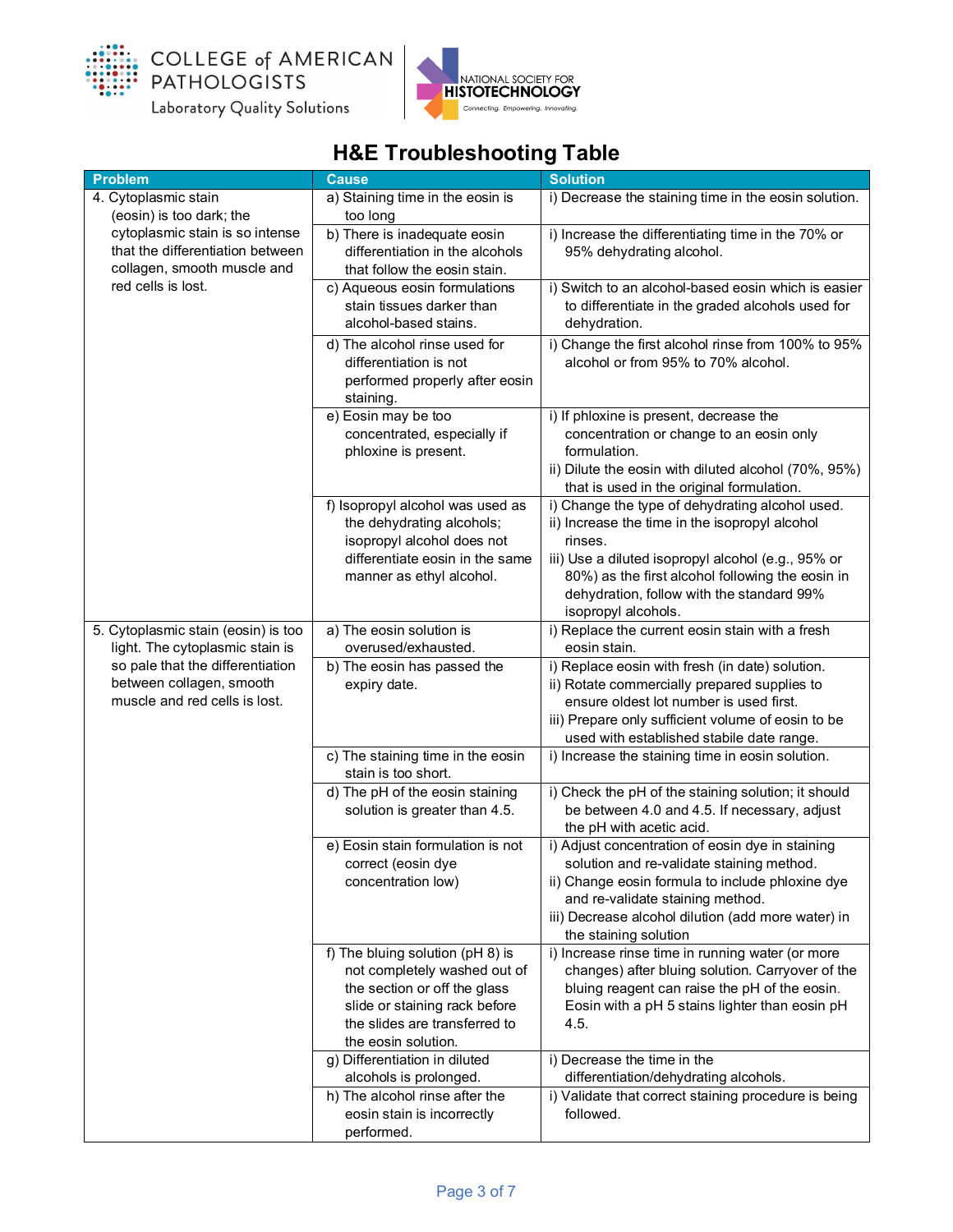



| <b>Problem</b>                                                                                                                                       | <b>Cause</b>                                                                                                                                                                              | <b>Solution</b>                                                                                                                                                                                                                                                                                                                         |
|------------------------------------------------------------------------------------------------------------------------------------------------------|-------------------------------------------------------------------------------------------------------------------------------------------------------------------------------------------|-----------------------------------------------------------------------------------------------------------------------------------------------------------------------------------------------------------------------------------------------------------------------------------------------------------------------------------------|
| 4. Cytoplasmic stain                                                                                                                                 | a) Staining time in the eosin is<br>too long                                                                                                                                              | i) Decrease the staining time in the eosin solution.                                                                                                                                                                                                                                                                                    |
| (eosin) is too dark; the<br>cytoplasmic stain is so intense<br>that the differentiation between<br>collagen, smooth muscle and<br>red cells is lost. | b) There is inadequate eosin<br>differentiation in the alcohols<br>that follow the eosin stain.                                                                                           | i) Increase the differentiating time in the 70% or<br>95% dehydrating alcohol.                                                                                                                                                                                                                                                          |
|                                                                                                                                                      | c) Aqueous eosin formulations<br>stain tissues darker than<br>alcohol-based stains.                                                                                                       | i) Switch to an alcohol-based eosin which is easier<br>to differentiate in the graded alcohols used for<br>dehydration.                                                                                                                                                                                                                 |
|                                                                                                                                                      | d) The alcohol rinse used for<br>differentiation is not<br>performed properly after eosin<br>staining.                                                                                    | i) Change the first alcohol rinse from 100% to 95%<br>alcohol or from 95% to 70% alcohol.                                                                                                                                                                                                                                               |
|                                                                                                                                                      | e) Eosin may be too<br>concentrated, especially if<br>phloxine is present.                                                                                                                | i) If phloxine is present, decrease the<br>concentration or change to an eosin only<br>formulation.<br>ii) Dilute the eosin with diluted alcohol (70%, 95%)                                                                                                                                                                             |
|                                                                                                                                                      | f) Isopropyl alcohol was used as<br>the dehydrating alcohols;<br>isopropyl alcohol does not<br>differentiate eosin in the same<br>manner as ethyl alcohol.                                | that is used in the original formulation.<br>i) Change the type of dehydrating alcohol used.<br>ii) Increase the time in the isopropyl alcohol<br>rinses.<br>iii) Use a diluted isopropyl alcohol (e.g., 95% or<br>80%) as the first alcohol following the eosin in<br>dehydration, follow with the standard 99%<br>isopropyl alcohols. |
| 5. Cytoplasmic stain (eosin) is too                                                                                                                  | a) The eosin solution is<br>overused/exhausted.                                                                                                                                           | i) Replace the current eosin stain with a fresh<br>eosin stain.                                                                                                                                                                                                                                                                         |
| light. The cytoplasmic stain is<br>so pale that the differentiation<br>between collagen, smooth<br>muscle and red cells is lost.                     | b) The eosin has passed the<br>expiry date.                                                                                                                                               | i) Replace eosin with fresh (in date) solution.<br>ii) Rotate commercially prepared supplies to<br>ensure oldest lot number is used first.<br>iii) Prepare only sufficient volume of eosin to be<br>used with established stabile date range.                                                                                           |
|                                                                                                                                                      | c) The staining time in the eosin<br>stain is too short.                                                                                                                                  | i) Increase the staining time in eosin solution.                                                                                                                                                                                                                                                                                        |
|                                                                                                                                                      | d) The pH of the eosin staining<br>solution is greater than 4.5.                                                                                                                          | i) Check the pH of the staining solution; it should<br>be between 4.0 and 4.5. If necessary, adjust<br>the pH with acetic acid.                                                                                                                                                                                                         |
|                                                                                                                                                      | e) Eosin stain formulation is not<br>correct (eosin dye<br>concentration low)                                                                                                             | i) Adjust concentration of eosin dye in staining<br>solution and re-validate staining method.<br>ii) Change eosin formula to include phloxine dye<br>and re-validate staining method.<br>iii) Decrease alcohol dilution (add more water) in<br>the staining solution                                                                    |
|                                                                                                                                                      | f) The bluing solution (pH 8) is<br>not completely washed out of<br>the section or off the glass<br>slide or staining rack before<br>the slides are transferred to<br>the eosin solution. | i) Increase rinse time in running water (or more<br>changes) after bluing solution. Carryover of the<br>bluing reagent can raise the pH of the eosin.<br>Eosin with a pH 5 stains lighter than eosin pH<br>4.5.                                                                                                                         |
|                                                                                                                                                      | g) Differentiation in diluted<br>alcohols is prolonged.                                                                                                                                   | i) Decrease the time in the<br>differentiation/dehydrating alcohols.                                                                                                                                                                                                                                                                    |
|                                                                                                                                                      | h) The alcohol rinse after the<br>eosin stain is incorrectly<br>performed.                                                                                                                | i) Validate that correct staining procedure is being<br>followed.                                                                                                                                                                                                                                                                       |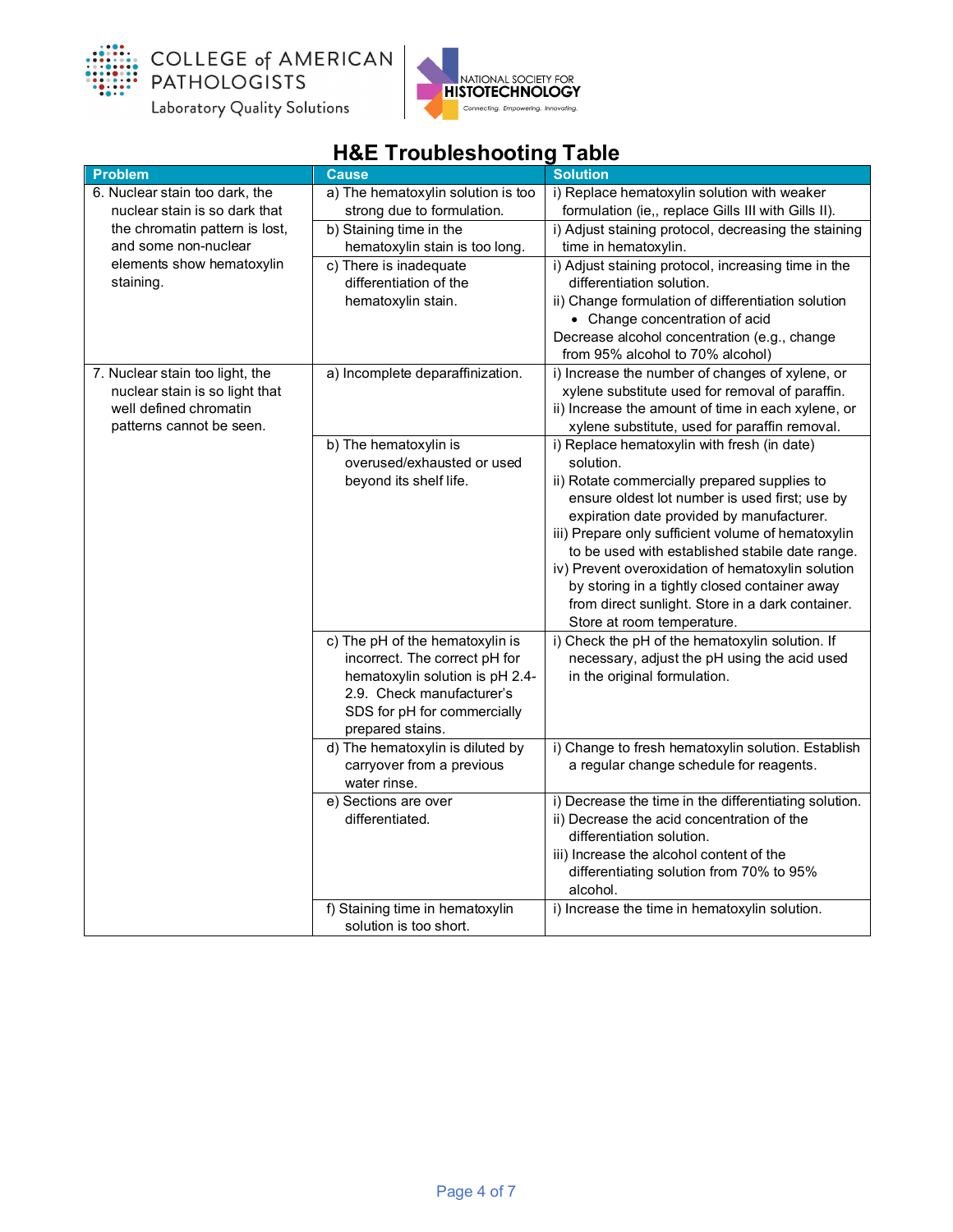



|                                                                                                                         | <b>TOL TOURIGATIONING</b> TURIS                                                                                                                                                     |                                                                                                                                                                                                                                                                                                                                                                                                                                                                                                          |
|-------------------------------------------------------------------------------------------------------------------------|-------------------------------------------------------------------------------------------------------------------------------------------------------------------------------------|----------------------------------------------------------------------------------------------------------------------------------------------------------------------------------------------------------------------------------------------------------------------------------------------------------------------------------------------------------------------------------------------------------------------------------------------------------------------------------------------------------|
| <b>Problem</b>                                                                                                          | <b>Cause</b>                                                                                                                                                                        | <b>Solution</b>                                                                                                                                                                                                                                                                                                                                                                                                                                                                                          |
| 6. Nuclear stain too dark, the<br>nuclear stain is so dark that                                                         | a) The hematoxylin solution is too<br>strong due to formulation.                                                                                                                    | i) Replace hematoxylin solution with weaker<br>formulation (ie,, replace Gills III with Gills II).                                                                                                                                                                                                                                                                                                                                                                                                       |
| the chromatin pattern is lost,<br>and some non-nuclear                                                                  | b) Staining time in the<br>hematoxylin stain is too long.                                                                                                                           | i) Adjust staining protocol, decreasing the staining<br>time in hematoxylin.                                                                                                                                                                                                                                                                                                                                                                                                                             |
| elements show hematoxylin<br>staining.                                                                                  | c) There is inadequate<br>differentiation of the<br>hematoxylin stain.                                                                                                              | i) Adjust staining protocol, increasing time in the<br>differentiation solution.<br>ii) Change formulation of differentiation solution<br>• Change concentration of acid                                                                                                                                                                                                                                                                                                                                 |
|                                                                                                                         |                                                                                                                                                                                     | Decrease alcohol concentration (e.g., change<br>from 95% alcohol to 70% alcohol)                                                                                                                                                                                                                                                                                                                                                                                                                         |
| 7. Nuclear stain too light, the<br>nuclear stain is so light that<br>well defined chromatin<br>patterns cannot be seen. | a) Incomplete deparaffinization.                                                                                                                                                    | i) Increase the number of changes of xylene, or<br>xylene substitute used for removal of paraffin.<br>ii) Increase the amount of time in each xylene, or<br>xylene substitute, used for paraffin removal.                                                                                                                                                                                                                                                                                                |
|                                                                                                                         | b) The hematoxylin is<br>overused/exhausted or used<br>beyond its shelf life.                                                                                                       | i) Replace hematoxylin with fresh (in date)<br>solution.<br>ii) Rotate commercially prepared supplies to<br>ensure oldest lot number is used first; use by<br>expiration date provided by manufacturer.<br>iii) Prepare only sufficient volume of hematoxylin<br>to be used with established stabile date range.<br>iv) Prevent overoxidation of hematoxylin solution<br>by storing in a tightly closed container away<br>from direct sunlight. Store in a dark container.<br>Store at room temperature. |
|                                                                                                                         | c) The pH of the hematoxylin is<br>incorrect. The correct pH for<br>hematoxylin solution is pH 2.4-<br>2.9. Check manufacturer's<br>SDS for pH for commercially<br>prepared stains. | i) Check the pH of the hematoxylin solution. If<br>necessary, adjust the pH using the acid used<br>in the original formulation.                                                                                                                                                                                                                                                                                                                                                                          |
|                                                                                                                         | d) The hematoxylin is diluted by<br>carryover from a previous<br>water rinse.                                                                                                       | i) Change to fresh hematoxylin solution. Establish<br>a regular change schedule for reagents.                                                                                                                                                                                                                                                                                                                                                                                                            |
|                                                                                                                         | e) Sections are over<br>differentiated.                                                                                                                                             | i) Decrease the time in the differentiating solution.<br>ii) Decrease the acid concentration of the<br>differentiation solution.<br>iii) Increase the alcohol content of the<br>differentiating solution from 70% to 95%<br>alcohol.                                                                                                                                                                                                                                                                     |
|                                                                                                                         | f) Staining time in hematoxylin<br>solution is too short.                                                                                                                           | i) Increase the time in hematoxylin solution.                                                                                                                                                                                                                                                                                                                                                                                                                                                            |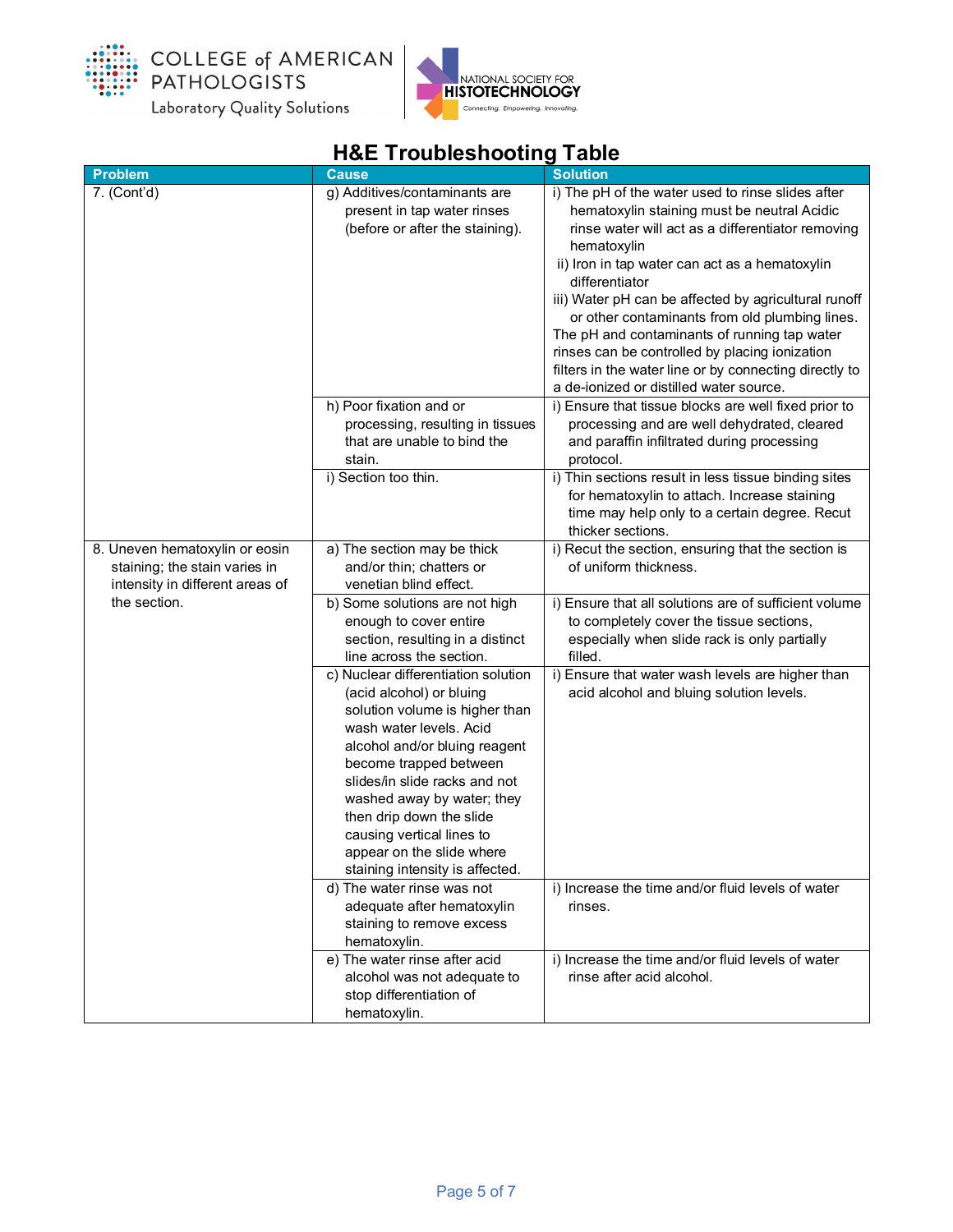



| <b>Problem</b>                  | <b>Cause</b>                                           | <b>Solution</b>                                                                                      |
|---------------------------------|--------------------------------------------------------|------------------------------------------------------------------------------------------------------|
| 7. (Cont'd)                     | g) Additives/contaminants are                          | i) The pH of the water used to rinse slides after                                                    |
|                                 | present in tap water rinses                            | hematoxylin staining must be neutral Acidic                                                          |
|                                 | (before or after the staining).                        | rinse water will act as a differentiator removing                                                    |
|                                 |                                                        | hematoxylin                                                                                          |
|                                 |                                                        | ii) Iron in tap water can act as a hematoxylin                                                       |
|                                 |                                                        | differentiator                                                                                       |
|                                 |                                                        | iii) Water pH can be affected by agricultural runoff                                                 |
|                                 |                                                        | or other contaminants from old plumbing lines.                                                       |
|                                 |                                                        | The pH and contaminants of running tap water                                                         |
|                                 |                                                        | rinses can be controlled by placing ionization                                                       |
|                                 |                                                        | filters in the water line or by connecting directly to                                               |
|                                 |                                                        | a de-ionized or distilled water source.                                                              |
|                                 | h) Poor fixation and or                                | i) Ensure that tissue blocks are well fixed prior to                                                 |
|                                 | processing, resulting in tissues                       | processing and are well dehydrated, cleared                                                          |
|                                 | that are unable to bind the                            | and paraffin infiltrated during processing                                                           |
|                                 | stain.                                                 | protocol.                                                                                            |
|                                 | i) Section too thin.                                   | i) Thin sections result in less tissue binding sites<br>for hematoxylin to attach. Increase staining |
|                                 |                                                        | time may help only to a certain degree. Recut                                                        |
|                                 |                                                        | thicker sections.                                                                                    |
| 8. Uneven hematoxylin or eosin  | a) The section may be thick                            | i) Recut the section, ensuring that the section is                                                   |
| staining; the stain varies in   | and/or thin; chatters or                               | of uniform thickness.                                                                                |
| intensity in different areas of | venetian blind effect.                                 |                                                                                                      |
| the section.                    | b) Some solutions are not high                         | i) Ensure that all solutions are of sufficient volume                                                |
|                                 | enough to cover entire                                 | to completely cover the tissue sections,                                                             |
|                                 | section, resulting in a distinct                       | especially when slide rack is only partially                                                         |
|                                 | line across the section.                               | filled.                                                                                              |
|                                 | c) Nuclear differentiation solution                    | i) Ensure that water wash levels are higher than                                                     |
|                                 | (acid alcohol) or bluing                               | acid alcohol and bluing solution levels.                                                             |
|                                 | solution volume is higher than                         |                                                                                                      |
|                                 | wash water levels. Acid                                |                                                                                                      |
|                                 | alcohol and/or bluing reagent                          |                                                                                                      |
|                                 | become trapped between                                 |                                                                                                      |
|                                 | slides/in slide racks and not                          |                                                                                                      |
|                                 | washed away by water; they                             |                                                                                                      |
|                                 | then drip down the slide                               |                                                                                                      |
|                                 | causing vertical lines to<br>appear on the slide where |                                                                                                      |
|                                 | staining intensity is affected.                        |                                                                                                      |
|                                 | d) The water rinse was not                             | i) Increase the time and/or fluid levels of water                                                    |
|                                 | adequate after hematoxylin                             | rinses.                                                                                              |
|                                 | staining to remove excess                              |                                                                                                      |
|                                 | hematoxylin.                                           |                                                                                                      |
|                                 | e) The water rinse after acid                          | i) Increase the time and/or fluid levels of water                                                    |
|                                 | alcohol was not adequate to                            | rinse after acid alcohol.                                                                            |
|                                 | stop differentiation of                                |                                                                                                      |
|                                 | hematoxylin.                                           |                                                                                                      |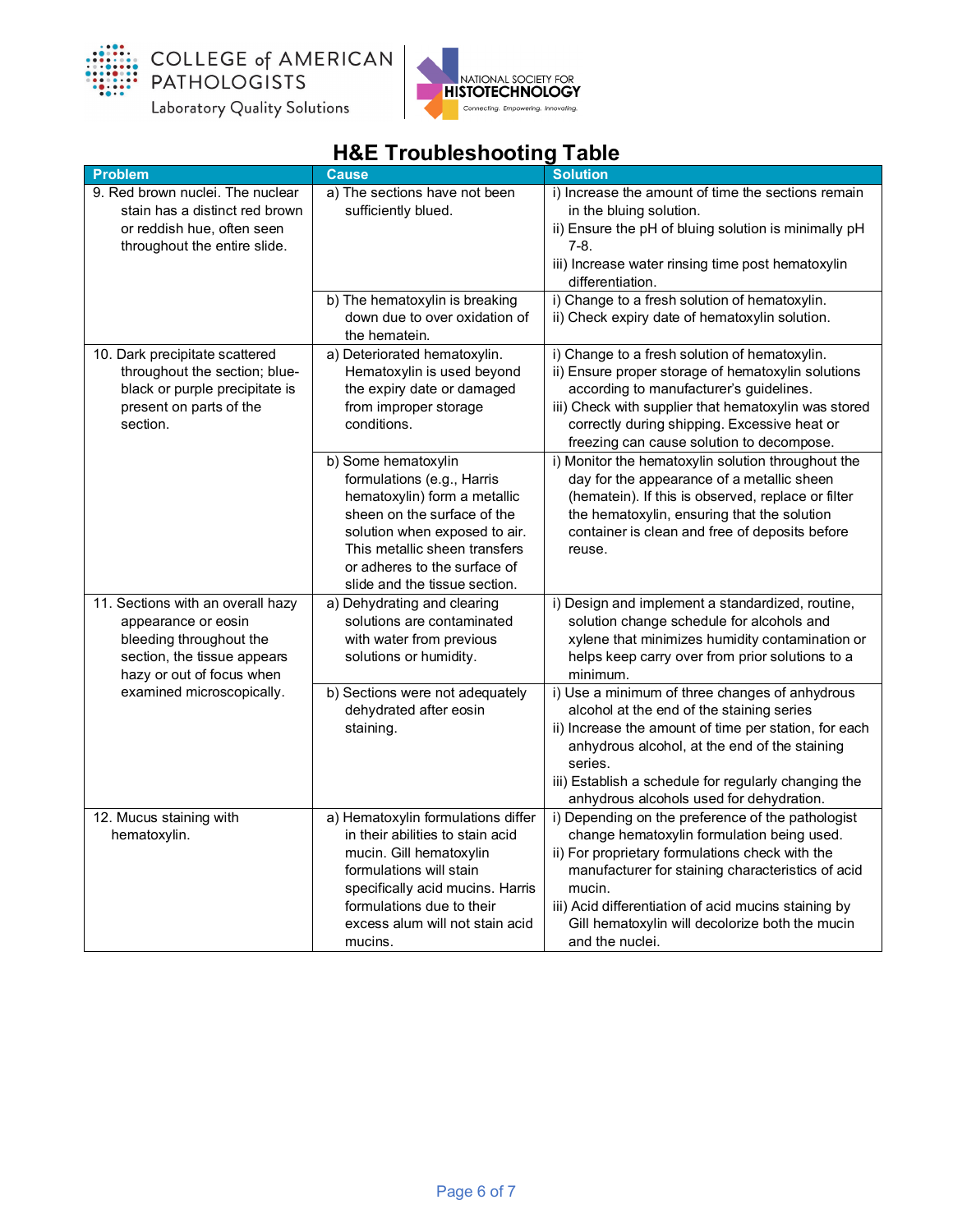



| <b>Problem</b>                                             | <b>Cause</b>                                                                     | <b>Solution</b>                                                                                  |
|------------------------------------------------------------|----------------------------------------------------------------------------------|--------------------------------------------------------------------------------------------------|
| 9. Red brown nuclei. The nuclear                           | a) The sections have not been                                                    | i) Increase the amount of time the sections remain                                               |
| stain has a distinct red brown                             | sufficiently blued.                                                              | in the bluing solution.                                                                          |
| or reddish hue, often seen<br>throughout the entire slide. |                                                                                  | ii) Ensure the pH of bluing solution is minimally pH<br>$7-8.$                                   |
|                                                            |                                                                                  | iii) Increase water rinsing time post hematoxylin<br>differentiation.                            |
|                                                            | b) The hematoxylin is breaking<br>down due to over oxidation of<br>the hematein. | i) Change to a fresh solution of hematoxylin.<br>ii) Check expiry date of hematoxylin solution.  |
| 10. Dark precipitate scattered                             | a) Deteriorated hematoxylin.                                                     | i) Change to a fresh solution of hematoxylin.                                                    |
| throughout the section; blue-                              | Hematoxylin is used beyond                                                       | ii) Ensure proper storage of hematoxylin solutions                                               |
| black or purple precipitate is                             | the expiry date or damaged                                                       | according to manufacturer's guidelines.                                                          |
| present on parts of the                                    | from improper storage                                                            | iii) Check with supplier that hematoxylin was stored                                             |
| section.                                                   | conditions.                                                                      | correctly during shipping. Excessive heat or                                                     |
|                                                            |                                                                                  | freezing can cause solution to decompose.                                                        |
|                                                            | b) Some hematoxylin<br>formulations (e.g., Harris                                | i) Monitor the hematoxylin solution throughout the<br>day for the appearance of a metallic sheen |
|                                                            | hematoxylin) form a metallic                                                     | (hematein). If this is observed, replace or filter                                               |
|                                                            | sheen on the surface of the                                                      | the hematoxylin, ensuring that the solution                                                      |
|                                                            | solution when exposed to air.                                                    | container is clean and free of deposits before                                                   |
|                                                            | This metallic sheen transfers                                                    | reuse.                                                                                           |
|                                                            | or adheres to the surface of                                                     |                                                                                                  |
|                                                            | slide and the tissue section.                                                    |                                                                                                  |
| 11. Sections with an overall hazy                          | a) Dehydrating and clearing                                                      | i) Design and implement a standardized, routine,                                                 |
| appearance or eosin                                        | solutions are contaminated                                                       | solution change schedule for alcohols and                                                        |
| bleeding throughout the                                    | with water from previous                                                         | xylene that minimizes humidity contamination or                                                  |
| section, the tissue appears<br>hazy or out of focus when   | solutions or humidity.                                                           | helps keep carry over from prior solutions to a<br>minimum.                                      |
| examined microscopically.                                  | b) Sections were not adequately                                                  | i) Use a minimum of three changes of anhydrous                                                   |
|                                                            | dehydrated after eosin                                                           | alcohol at the end of the staining series                                                        |
|                                                            | staining.                                                                        | ii) Increase the amount of time per station, for each                                            |
|                                                            |                                                                                  | anhydrous alcohol, at the end of the staining<br>series.                                         |
|                                                            |                                                                                  | iii) Establish a schedule for regularly changing the                                             |
|                                                            |                                                                                  | anhydrous alcohols used for dehydration.                                                         |
| 12. Mucus staining with                                    | a) Hematoxylin formulations differ                                               | i) Depending on the preference of the pathologist                                                |
| hematoxylin.                                               | in their abilities to stain acid                                                 | change hematoxylin formulation being used.                                                       |
|                                                            | mucin. Gill hematoxylin                                                          | ii) For proprietary formulations check with the                                                  |
|                                                            | formulations will stain                                                          | manufacturer for staining characteristics of acid                                                |
|                                                            | specifically acid mucins. Harris                                                 | mucin.                                                                                           |
|                                                            | formulations due to their                                                        | iii) Acid differentiation of acid mucins staining by                                             |
|                                                            | excess alum will not stain acid                                                  | Gill hematoxylin will decolorize both the mucin                                                  |
|                                                            | mucins.                                                                          | and the nuclei.                                                                                  |